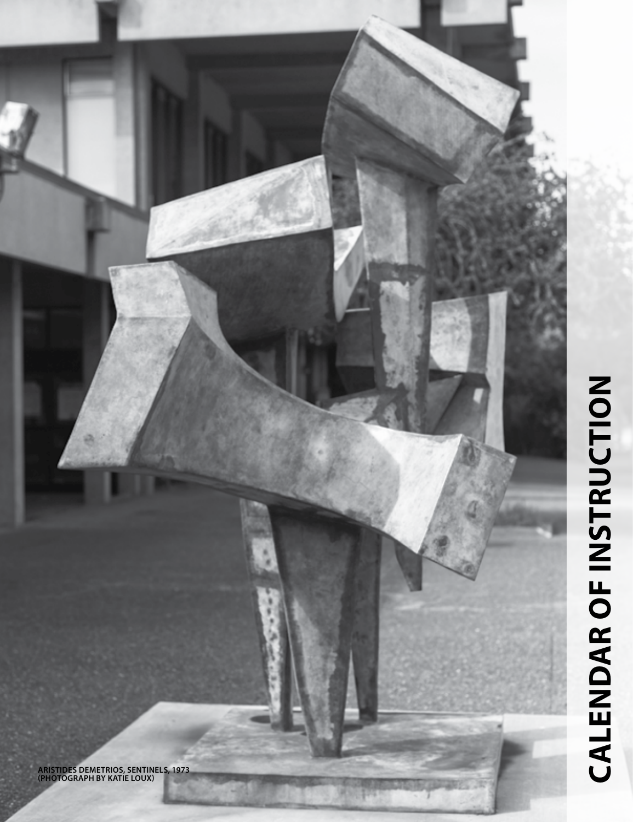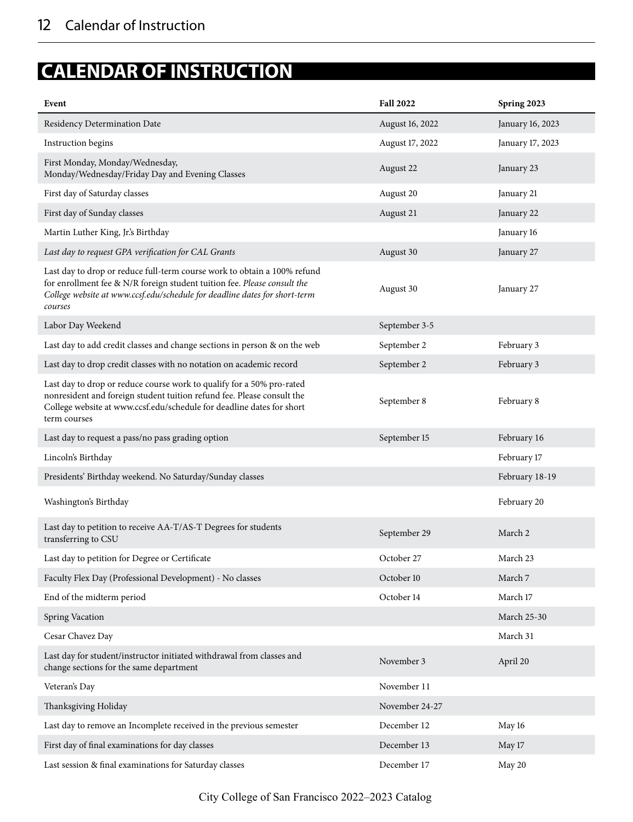## **CALENDAR OF INSTRUCTION**

| Event                                                                                                                                                                                                                                         | <b>Fall 2022</b> | Spring 2023        |
|-----------------------------------------------------------------------------------------------------------------------------------------------------------------------------------------------------------------------------------------------|------------------|--------------------|
| Residency Determination Date                                                                                                                                                                                                                  | August 16, 2022  | January 16, 2023   |
| Instruction begins                                                                                                                                                                                                                            | August 17, 2022  | January 17, 2023   |
| First Monday, Monday/Wednesday,<br>Monday/Wednesday/Friday Day and Evening Classes                                                                                                                                                            | August 22        | January 23         |
| First day of Saturday classes                                                                                                                                                                                                                 | August 20        | January 21         |
| First day of Sunday classes                                                                                                                                                                                                                   | August 21        | January 22         |
| Martin Luther King, Jr.'s Birthday                                                                                                                                                                                                            |                  | January 16         |
| Last day to request GPA verification for CAL Grants                                                                                                                                                                                           | August 30        | January 27         |
| Last day to drop or reduce full-term course work to obtain a 100% refund<br>for enrollment fee & N/R foreign student tuition fee. Please consult the<br>College website at www.ccsf.edu/schedule for deadline dates for short-term<br>courses | August 30        | January 27         |
| Labor Day Weekend                                                                                                                                                                                                                             | September 3-5    |                    |
| Last day to add credit classes and change sections in person & on the web                                                                                                                                                                     | September 2      | February 3         |
| Last day to drop credit classes with no notation on academic record                                                                                                                                                                           | September 2      | February 3         |
| Last day to drop or reduce course work to qualify for a 50% pro-rated<br>nonresident and foreign student tuition refund fee. Please consult the<br>College website at www.ccsf.edu/schedule for deadline dates for short<br>term courses      | September 8      | February 8         |
| Last day to request a pass/no pass grading option                                                                                                                                                                                             | September 15     | February 16        |
| Lincoln's Birthday                                                                                                                                                                                                                            |                  | February 17        |
| Presidents' Birthday weekend. No Saturday/Sunday classes                                                                                                                                                                                      |                  | February 18-19     |
| Washington's Birthday                                                                                                                                                                                                                         |                  | February 20        |
| Last day to petition to receive AA-T/AS-T Degrees for students<br>transferring to CSU                                                                                                                                                         | September 29     | March 2            |
| Last day to petition for Degree or Certificate                                                                                                                                                                                                | October 27       | March 23           |
| Faculty Flex Day (Professional Development) - No classes                                                                                                                                                                                      | October 10       | March 7            |
| End of the midterm period                                                                                                                                                                                                                     | October 14       | March 17           |
| Spring Vacation                                                                                                                                                                                                                               |                  | <b>March 25-30</b> |
| Cesar Chavez Day                                                                                                                                                                                                                              |                  | March 31           |
| Last day for student/instructor initiated withdrawal from classes and<br>change sections for the same department                                                                                                                              | November 3       | April 20           |
| Veteran's Day                                                                                                                                                                                                                                 | November 11      |                    |
| Thanksgiving Holiday                                                                                                                                                                                                                          | November 24-27   |                    |
| Last day to remove an Incomplete received in the previous semester                                                                                                                                                                            | December 12      | May 16             |
| First day of final examinations for day classes                                                                                                                                                                                               | December 13      | May 17             |
| Last session & final examinations for Saturday classes                                                                                                                                                                                        | December 17      | May 20             |